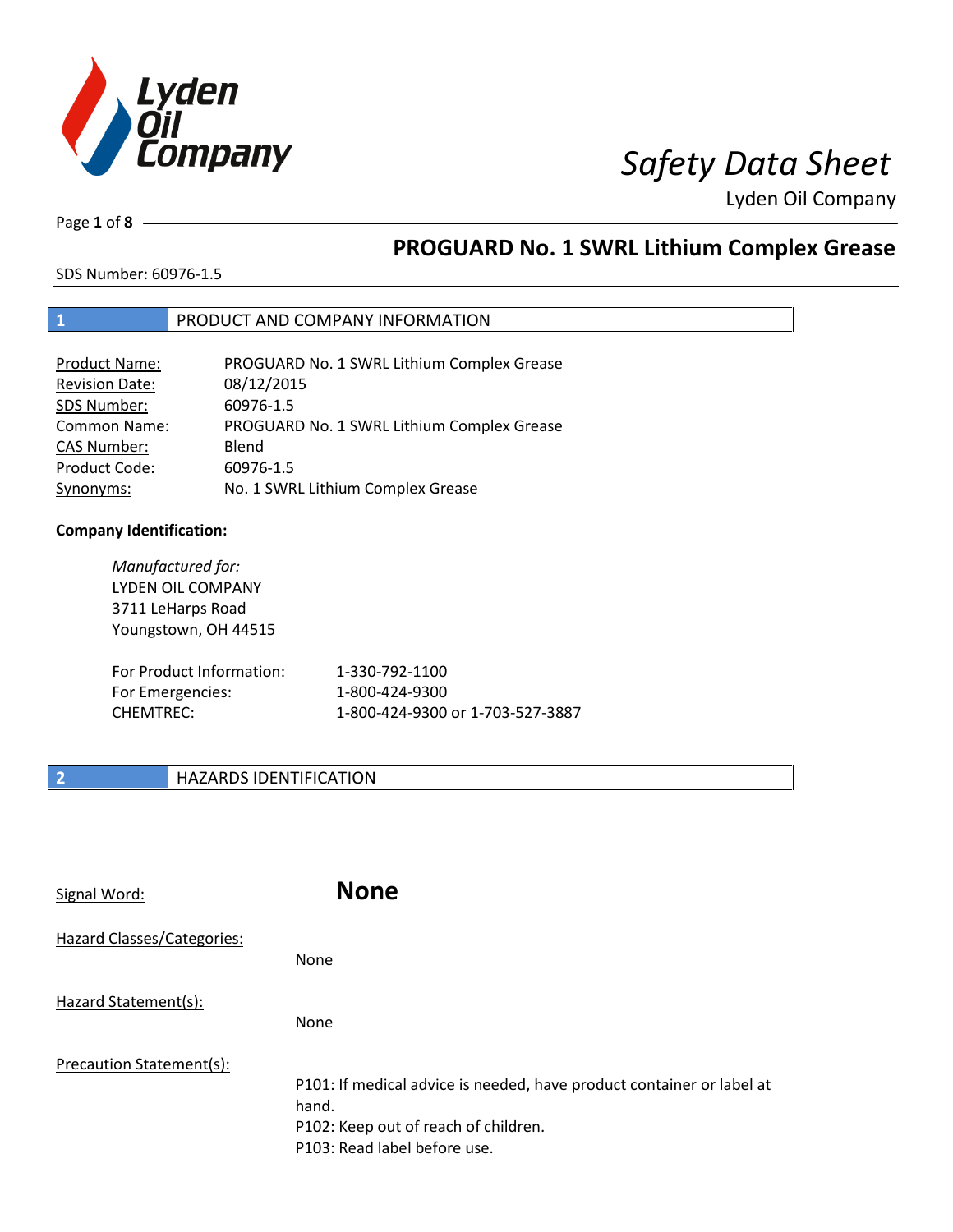

Page **1** of **8**

# **PROGUARD No. 1 SWRL Lithium Complex Grease**

SDS Number: 60976-1.5

### **1** PRODUCT AND COMPANY INFORMATION

| <b>Product Name:</b>  | PROGUARD No. 1 SWRL Lithium Complex Grease |
|-----------------------|--------------------------------------------|
| <b>Revision Date:</b> | 08/12/2015                                 |
| SDS Number:           | 60976-1.5                                  |
| Common Name:          | PROGUARD No. 1 SWRL Lithium Complex Grease |
| <b>CAS Number:</b>    | Blend                                      |
| Product Code:         | 60976-1.5                                  |
| Synonyms:             | No. 1 SWRL Lithium Complex Grease          |

### **Company Identification:**

| Manufactured for:<br><b>LYDEN OIL COMPANY</b><br>3711 LeHarps Road<br>Youngstown, OH 44515 |                                  |
|--------------------------------------------------------------------------------------------|----------------------------------|
| For Product Information:                                                                   | 1-330-792-1100                   |
| For Emergencies:                                                                           | 1-800-424-9300                   |
| <b>CHEMTREC:</b>                                                                           | 1-800-424-9300 or 1-703-527-3887 |

### **2 HAZARDS IDENTIFICATION**

| Signal Word:               | <b>None</b>                                                                                                                                            |
|----------------------------|--------------------------------------------------------------------------------------------------------------------------------------------------------|
| Hazard Classes/Categories: | <b>None</b>                                                                                                                                            |
| Hazard Statement(s):       | <b>None</b>                                                                                                                                            |
| Precaution Statement(s):   | P101: If medical advice is needed, have product container or label at<br>hand.<br>P102: Keep out of reach of children.<br>P103: Read label before use. |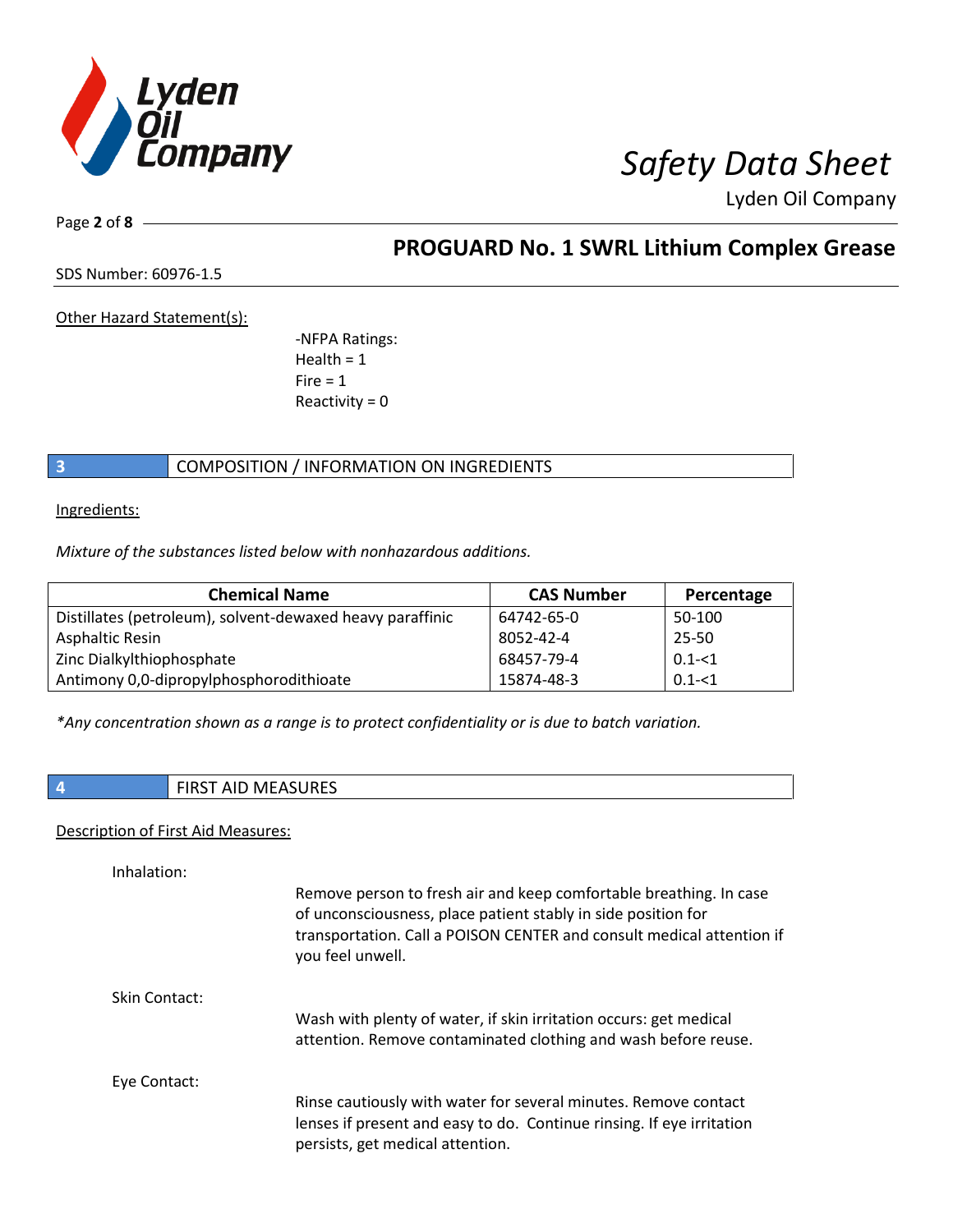

Page **2** of **8**

## **PROGUARD No. 1 SWRL Lithium Complex Grease**

SDS Number: 60976-1.5

Other Hazard Statement(s):

-NFPA Ratings: Health  $= 1$  $Fire = 1$ Reactivity  $= 0$ 

### **3** COMPOSITION / INFORMATION ON INGREDIENTS

Ingredients:

*Mixture of the substances listed below with nonhazardous additions.*

| <b>Chemical Name</b>                                      | <b>CAS Number</b> | Percentage |
|-----------------------------------------------------------|-------------------|------------|
| Distillates (petroleum), solvent-dewaxed heavy paraffinic | 64742-65-0        | 50-100     |
| Asphaltic Resin                                           | 8052-42-4         | 25-50      |
| Zinc Dialkylthiophosphate                                 | 68457-79-4        | $0.1 - 1$  |
| Antimony 0,0-dipropylphosphorodithioate                   | 15874-48-3        | $0.1 - 51$ |

*\*Any concentration shown as a range is to protect confidentiality or is due to batch variation.*

### **4** FIRST AID MEASURES

### Description of First Aid Measures:

| Inhalation:   |                                                                                                                                                                                                                                  |
|---------------|----------------------------------------------------------------------------------------------------------------------------------------------------------------------------------------------------------------------------------|
|               | Remove person to fresh air and keep comfortable breathing. In case<br>of unconsciousness, place patient stably in side position for<br>transportation. Call a POISON CENTER and consult medical attention if<br>you feel unwell. |
| Skin Contact: |                                                                                                                                                                                                                                  |
|               | Wash with plenty of water, if skin irritation occurs: get medical<br>attention. Remove contaminated clothing and wash before reuse.                                                                                              |
| Eye Contact:  |                                                                                                                                                                                                                                  |
|               | Rinse cautiously with water for several minutes. Remove contact<br>lenses if present and easy to do. Continue rinsing. If eye irritation<br>persists, get medical attention.                                                     |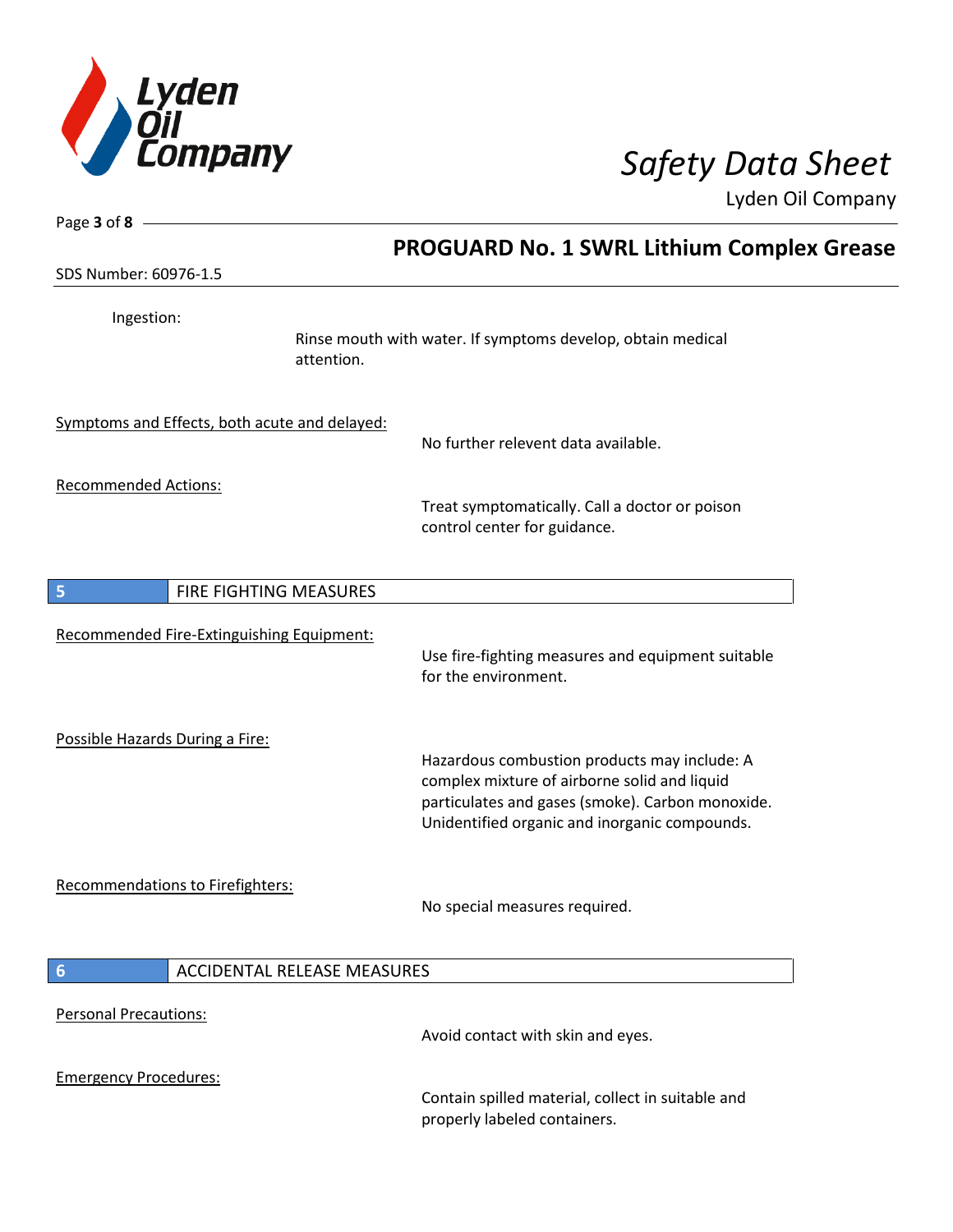

| Page 3 of 8 -                                         |                                                                                                                                                                                                   |
|-------------------------------------------------------|---------------------------------------------------------------------------------------------------------------------------------------------------------------------------------------------------|
|                                                       | <b>PROGUARD No. 1 SWRL Lithium Complex Grease</b>                                                                                                                                                 |
| SDS Number: 60976-1.5                                 |                                                                                                                                                                                                   |
| Ingestion:<br>attention.                              | Rinse mouth with water. If symptoms develop, obtain medical                                                                                                                                       |
| Symptoms and Effects, both acute and delayed:         | No further relevent data available.                                                                                                                                                               |
| <b>Recommended Actions:</b>                           | Treat symptomatically. Call a doctor or poison<br>control center for guidance.                                                                                                                    |
| FIRE FIGHTING MEASURES<br>5                           |                                                                                                                                                                                                   |
| Recommended Fire-Extinguishing Equipment:             | Use fire-fighting measures and equipment suitable<br>for the environment.                                                                                                                         |
| Possible Hazards During a Fire:                       | Hazardous combustion products may include: A<br>complex mixture of airborne solid and liquid<br>particulates and gases (smoke). Carbon monoxide.<br>Unidentified organic and inorganic compounds. |
| Recommendations to Firefighters:                      | No special measures required.                                                                                                                                                                     |
| <b>ACCIDENTAL RELEASE MEASURES</b><br>$6\phantom{1}6$ |                                                                                                                                                                                                   |
| <b>Personal Precautions:</b>                          | Avoid contact with skin and eyes.                                                                                                                                                                 |
| <b>Emergency Procedures:</b>                          | Contain spilled material, collect in suitable and<br>properly labeled containers.                                                                                                                 |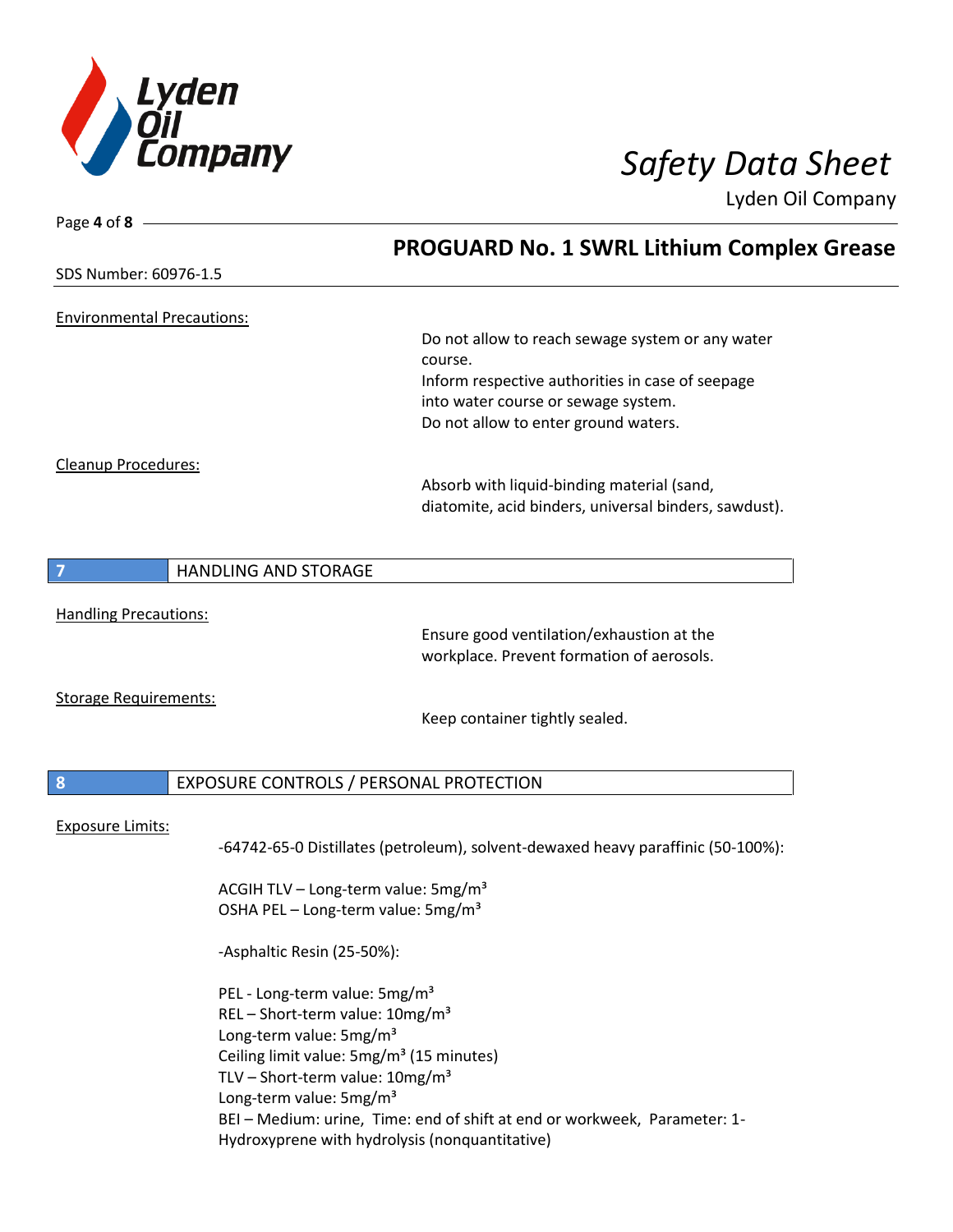

| Page 4 of $8 -$                   |                                                                                                                                                                                                                                                                                                                                                                                                   |
|-----------------------------------|---------------------------------------------------------------------------------------------------------------------------------------------------------------------------------------------------------------------------------------------------------------------------------------------------------------------------------------------------------------------------------------------------|
|                                   | <b>PROGUARD No. 1 SWRL Lithium Complex Grease</b>                                                                                                                                                                                                                                                                                                                                                 |
| SDS Number: 60976-1.5             |                                                                                                                                                                                                                                                                                                                                                                                                   |
| <b>Environmental Precautions:</b> | Do not allow to reach sewage system or any water<br>course.<br>Inform respective authorities in case of seepage                                                                                                                                                                                                                                                                                   |
| Cleanup Procedures:               | into water course or sewage system.<br>Do not allow to enter ground waters.                                                                                                                                                                                                                                                                                                                       |
|                                   | Absorb with liquid-binding material (sand,<br>diatomite, acid binders, universal binders, sawdust).                                                                                                                                                                                                                                                                                               |
| $\overline{7}$                    | <b>HANDLING AND STORAGE</b>                                                                                                                                                                                                                                                                                                                                                                       |
| <b>Handling Precautions:</b>      | Ensure good ventilation/exhaustion at the<br>workplace. Prevent formation of aerosols.                                                                                                                                                                                                                                                                                                            |
| <b>Storage Requirements:</b>      | Keep container tightly sealed.                                                                                                                                                                                                                                                                                                                                                                    |
| 8                                 | EXPOSURE CONTROLS / PERSONAL PROTECTION                                                                                                                                                                                                                                                                                                                                                           |
| <b>Exposure Limits:</b>           | -64742-65-0 Distillates (petroleum), solvent-dewaxed heavy paraffinic (50-100%):<br>ACGIH TLV - Long-term value: 5mg/m <sup>3</sup><br>OSHA PEL - Long-term value: 5mg/m <sup>3</sup>                                                                                                                                                                                                             |
|                                   | -Asphaltic Resin (25-50%):                                                                                                                                                                                                                                                                                                                                                                        |
|                                   | PEL - Long-term value: 5mg/m <sup>3</sup><br>REL-Short-term value: 10mg/m <sup>3</sup><br>Long-term value: 5mg/m <sup>3</sup><br>Ceiling limit value: 5mg/m <sup>3</sup> (15 minutes)<br>TLV - Short-term value: $10mg/m^3$<br>Long-term value: 5mg/m <sup>3</sup><br>BEI - Medium: urine, Time: end of shift at end or workweek, Parameter: 1-<br>Hydroxyprene with hydrolysis (nonquantitative) |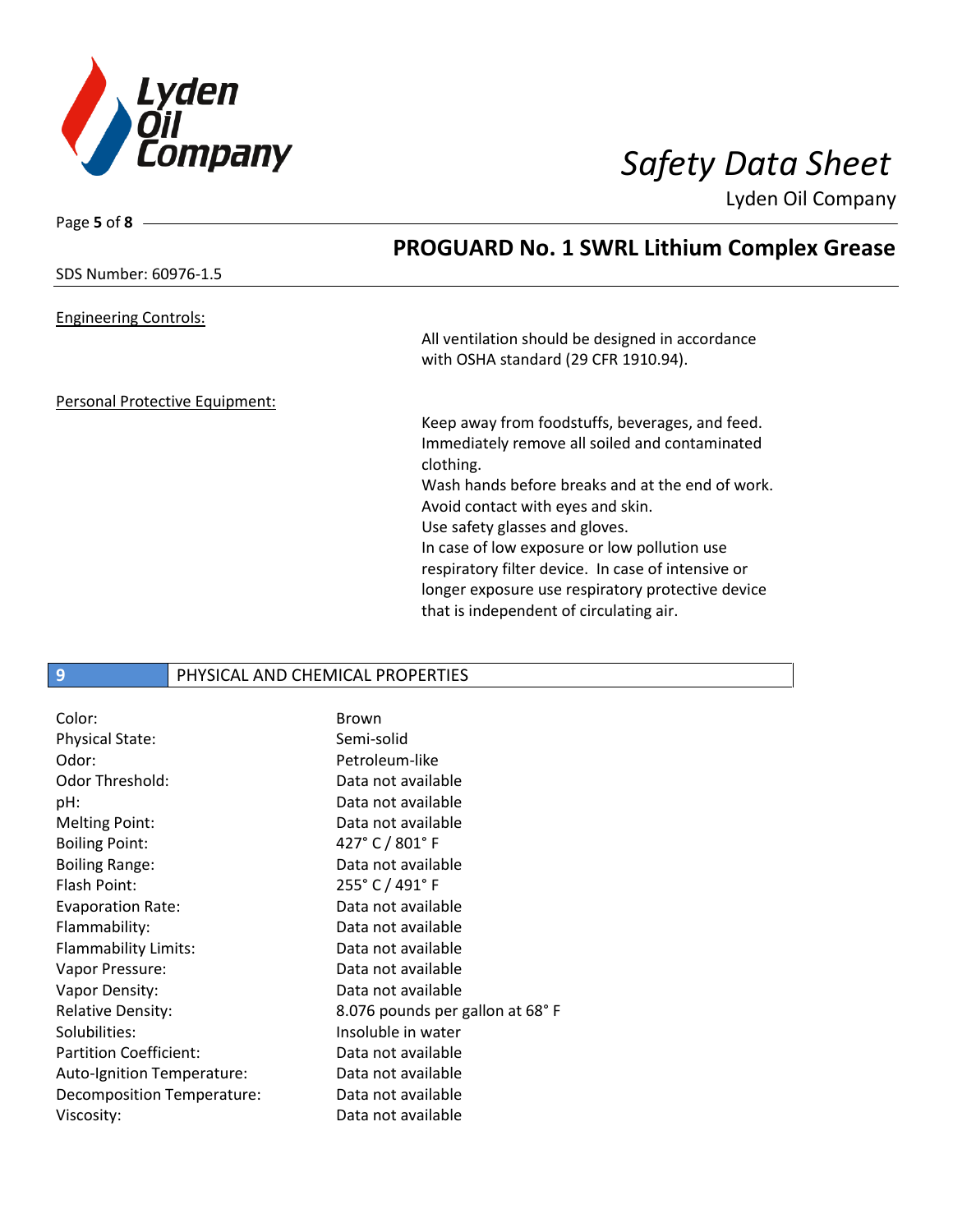

Page **5** of **8**

Lyden Oil Company

|                                | <b>PROGUARD No. 1 SWRL Lithium Complex Grease</b>  |
|--------------------------------|----------------------------------------------------|
| SDS Number: 60976-1.5          |                                                    |
| <b>Engineering Controls:</b>   |                                                    |
|                                | All ventilation should be designed in accordance   |
|                                | with OSHA standard (29 CFR 1910.94).               |
| Personal Protective Equipment: |                                                    |
|                                | Keep away from foodstuffs, beverages, and feed.    |
|                                | Immediately remove all soiled and contaminated     |
|                                | clothing.                                          |
|                                | Wash hands before breaks and at the end of work.   |
|                                | Avoid contact with eyes and skin.                  |
|                                | Use safety glasses and gloves.                     |
|                                | In case of low exposure or low pollution use       |
|                                | respiratory filter device. In case of intensive or |
|                                | longer exposure use respiratory protective device  |
|                                | that is independent of circulating air.            |
|                                |                                                    |

### **9** PHYSICAL AND CHEMICAL PROPERTIES

| Color:                        | Brown                           |
|-------------------------------|---------------------------------|
| <b>Physical State:</b>        | Semi-solid                      |
| Odor:                         | Petroleum-like                  |
| Odor Threshold:               | Data not available              |
| pH:                           | Data not available              |
| Melting Point:                | Data not available              |
| <b>Boiling Point:</b>         | 427° C / 801° F                 |
| <b>Boiling Range:</b>         | Data not available              |
| Flash Point:                  | 255° C / 491° F                 |
| <b>Evaporation Rate:</b>      | Data not available              |
| Flammability:                 | Data not available              |
| Flammability Limits:          | Data not available              |
| Vapor Pressure:               | Data not available              |
| Vapor Density:                | Data not available              |
| <b>Relative Density:</b>      | 8.076 pounds per gallon at 68°F |
| Solubilities:                 | Insoluble in water              |
| <b>Partition Coefficient:</b> | Data not available              |
| Auto-Ignition Temperature:    | Data not available              |
| Decomposition Temperature:    | Data not available              |
| Viscosity:                    | Data not available              |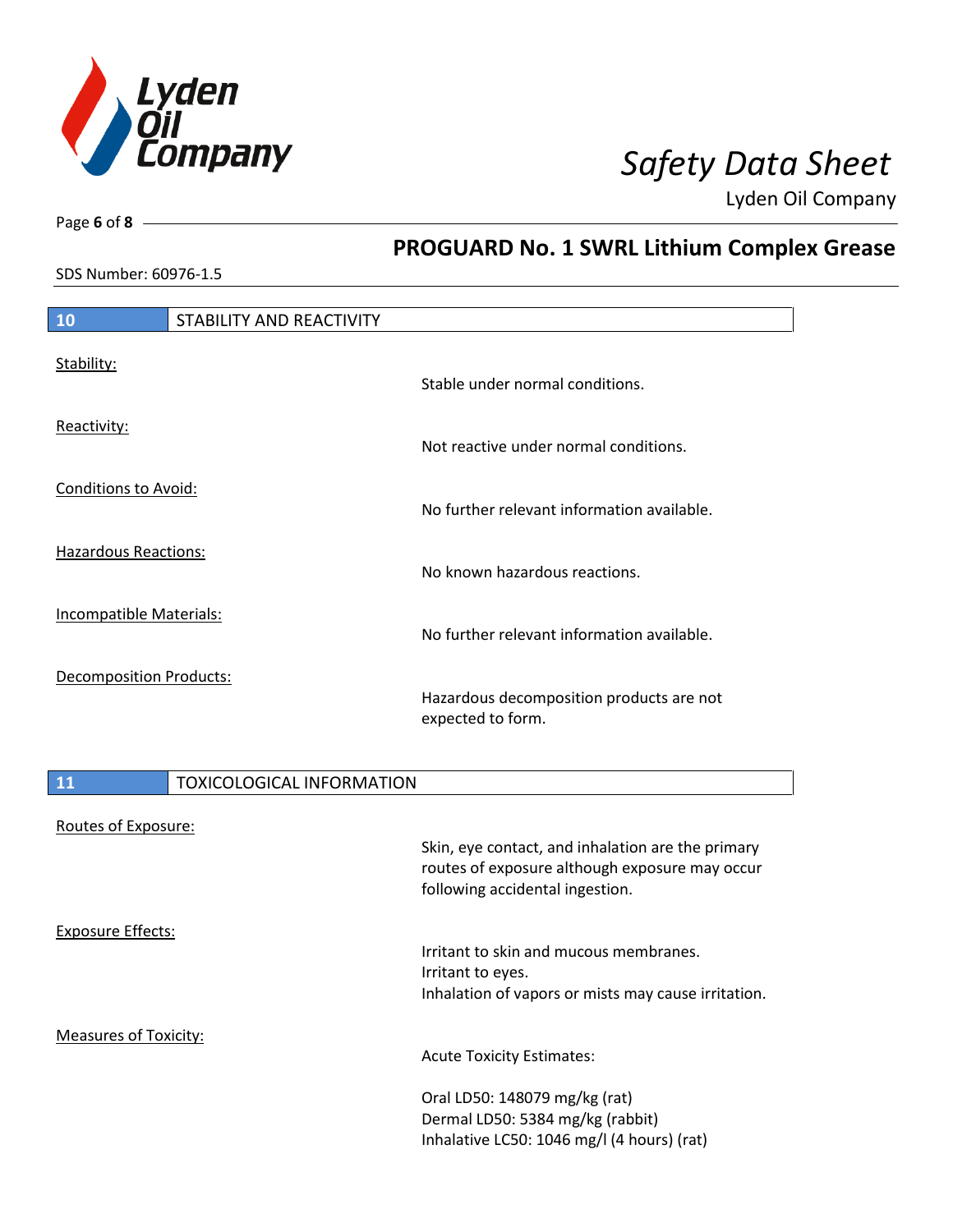

**PROGUARD No. 1 SWRL Lithium Complex Grease**

Lyden Oil Company

SDS Number: 60976-1.5

Page **6** of **8**

| 10                             | STABILITY AND REACTIVITY         |                                                                                                     |
|--------------------------------|----------------------------------|-----------------------------------------------------------------------------------------------------|
| Stability:                     |                                  | Stable under normal conditions.                                                                     |
| Reactivity:                    |                                  | Not reactive under normal conditions.                                                               |
| <b>Conditions to Avoid:</b>    |                                  | No further relevant information available.                                                          |
| <b>Hazardous Reactions:</b>    |                                  | No known hazardous reactions.                                                                       |
| Incompatible Materials:        |                                  | No further relevant information available.                                                          |
| <b>Decomposition Products:</b> |                                  | Hazardous decomposition products are not<br>expected to form.                                       |
| 11                             | <b>TOXICOLOGICAL INFORMATION</b> |                                                                                                     |
| Routes of Exposure:            |                                  |                                                                                                     |
|                                |                                  | Skin, eye contact, and inhalation are the primary<br>routes of exposure although exposure may occur |

Exposure Effects:

Measures of Toxicity:

routes of exposure although exposure may occur following accidental ingestion.

Irritant to skin and mucous membranes. Irritant to eyes. Inhalation of vapors or mists may cause irritation.

Acute Toxicity Estimates:

Oral LD50: 148079 mg/kg (rat) Dermal LD50: 5384 mg/kg (rabbit) Inhalative LC50: 1046 mg/l (4 hours) (rat)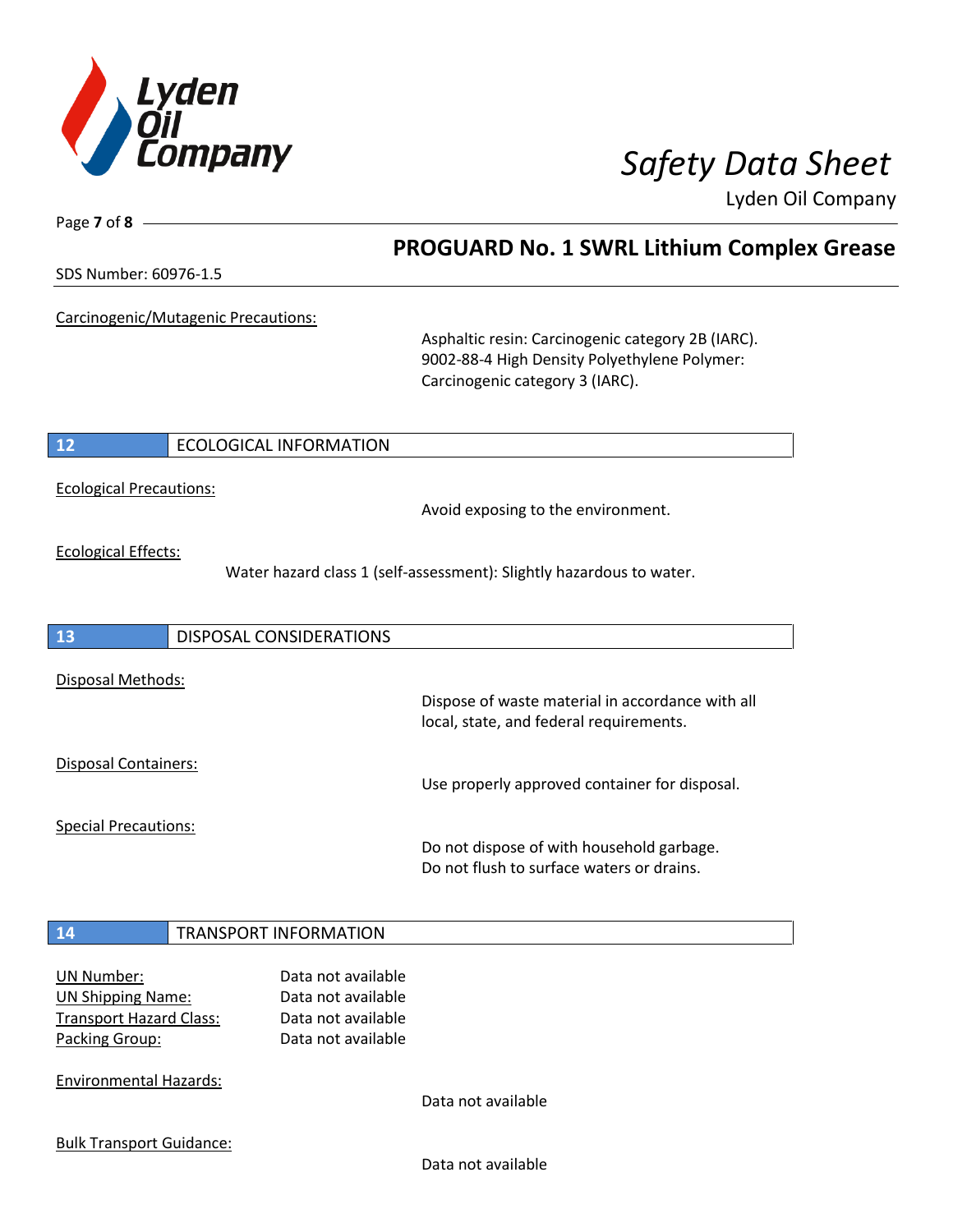

Page **7** of **8**

## **PROGUARD No. 1 SWRL Lithium Complex Grease**

SDS Number: 60976-1.5

Carcinogenic/Mutagenic Precautions:

Asphaltic resin: Carcinogenic category 2B (IARC). 9002-88-4 High Density Polyethylene Polymer: Carcinogenic category 3 (IARC).

I

### **12** ECOLOGICAL INFORMATION

Ecological Precautions:

Avoid exposing to the environment.

Ecological Effects:

Water hazard class 1 (self-assessment): Slightly hazardous to water.

| 13                          | <b>DISPOSAL CONSIDERATIONS</b> |                                                                                             |
|-----------------------------|--------------------------------|---------------------------------------------------------------------------------------------|
| Disposal Methods:           |                                | Dispose of waste material in accordance with all<br>local, state, and federal requirements. |
| Disposal Containers:        |                                | Use properly approved container for disposal.                                               |
| <b>Special Precautions:</b> |                                |                                                                                             |

Do not dispose of with household garbage. Do not flush to surface waters or drains.

### **14** TRANSPORT INFORMATION

UN Number: Data not available UN Shipping Name: Data not available Transport Hazard Class: Data not available Packing Group: Data not available

Environmental Hazards:

Data not available

Bulk Transport Guidance:

Data not available